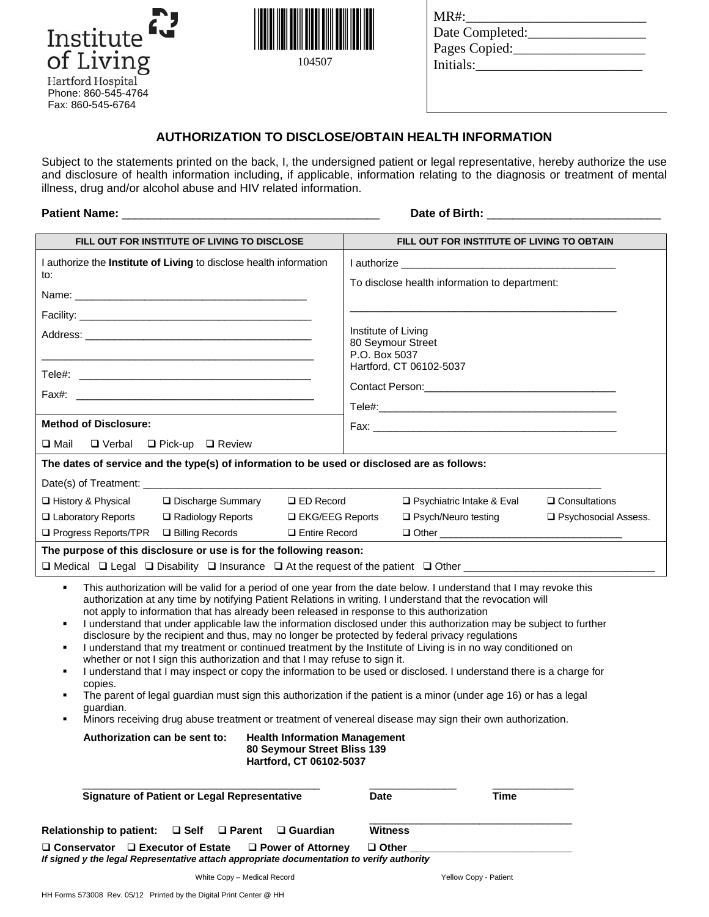

104507

| MR#:            |  |
|-----------------|--|
| Date Completed: |  |
| Pages Copied:   |  |
| Initials:       |  |
|                 |  |

## **AUTHORIZATION TO DISCLOSE/OBTAIN HEALTH INFORMATION**

Subject to the statements printed on the back, I, the undersigned patient or legal representative, hereby authorize the use and disclosure of health information including, if applicable, information relating to the diagnosis or treatment of mental illness, drug and/or alcohol abuse and HIV related information.

# **Patient Name:** \_\_\_\_\_\_\_\_\_\_\_\_\_\_\_\_\_\_\_\_\_\_\_\_\_\_\_\_\_\_\_\_\_\_\_\_\_\_\_\_ **Date of Birth:** \_\_\_\_\_\_\_\_\_\_\_\_\_\_\_\_\_\_\_\_\_\_\_\_\_\_\_

| FILL OUT FOR INSTITUTE OF LIVING TO DISCLOSE                                                                                                                                                                                                                                                                                                                                                                                                                                                                                                                                                                                                                                                                                                                                                                                                                                                                                                                                                                                                                                                                                                                                                                                                 | FILL OUT FOR INSTITUTE OF LIVING TO OBTAIN                                                                       |  |
|----------------------------------------------------------------------------------------------------------------------------------------------------------------------------------------------------------------------------------------------------------------------------------------------------------------------------------------------------------------------------------------------------------------------------------------------------------------------------------------------------------------------------------------------------------------------------------------------------------------------------------------------------------------------------------------------------------------------------------------------------------------------------------------------------------------------------------------------------------------------------------------------------------------------------------------------------------------------------------------------------------------------------------------------------------------------------------------------------------------------------------------------------------------------------------------------------------------------------------------------|------------------------------------------------------------------------------------------------------------------|--|
| I authorize the Institute of Living to disclose health information                                                                                                                                                                                                                                                                                                                                                                                                                                                                                                                                                                                                                                                                                                                                                                                                                                                                                                                                                                                                                                                                                                                                                                           |                                                                                                                  |  |
| to:                                                                                                                                                                                                                                                                                                                                                                                                                                                                                                                                                                                                                                                                                                                                                                                                                                                                                                                                                                                                                                                                                                                                                                                                                                          | To disclose health information to department:                                                                    |  |
|                                                                                                                                                                                                                                                                                                                                                                                                                                                                                                                                                                                                                                                                                                                                                                                                                                                                                                                                                                                                                                                                                                                                                                                                                                              |                                                                                                                  |  |
|                                                                                                                                                                                                                                                                                                                                                                                                                                                                                                                                                                                                                                                                                                                                                                                                                                                                                                                                                                                                                                                                                                                                                                                                                                              |                                                                                                                  |  |
|                                                                                                                                                                                                                                                                                                                                                                                                                                                                                                                                                                                                                                                                                                                                                                                                                                                                                                                                                                                                                                                                                                                                                                                                                                              | Institute of Living<br>80 Seymour Street                                                                         |  |
|                                                                                                                                                                                                                                                                                                                                                                                                                                                                                                                                                                                                                                                                                                                                                                                                                                                                                                                                                                                                                                                                                                                                                                                                                                              | P.O. Box 5037                                                                                                    |  |
|                                                                                                                                                                                                                                                                                                                                                                                                                                                                                                                                                                                                                                                                                                                                                                                                                                                                                                                                                                                                                                                                                                                                                                                                                                              | Hartford, CT 06102-5037                                                                                          |  |
| Fax#: The contract of the contract of the contract of the contract of the contract of the contract of the contract of the contract of the contract of the contract of the contract of the contract of the contract of the cont                                                                                                                                                                                                                                                                                                                                                                                                                                                                                                                                                                                                                                                                                                                                                                                                                                                                                                                                                                                                               |                                                                                                                  |  |
|                                                                                                                                                                                                                                                                                                                                                                                                                                                                                                                                                                                                                                                                                                                                                                                                                                                                                                                                                                                                                                                                                                                                                                                                                                              |                                                                                                                  |  |
| <b>Method of Disclosure:</b>                                                                                                                                                                                                                                                                                                                                                                                                                                                                                                                                                                                                                                                                                                                                                                                                                                                                                                                                                                                                                                                                                                                                                                                                                 |                                                                                                                  |  |
| $\square$ Mail<br>$\Box$ Verbal $\Box$ Pick-up $\Box$ Review                                                                                                                                                                                                                                                                                                                                                                                                                                                                                                                                                                                                                                                                                                                                                                                                                                                                                                                                                                                                                                                                                                                                                                                 |                                                                                                                  |  |
| The dates of service and the type(s) of information to be used or disclosed are as follows:                                                                                                                                                                                                                                                                                                                                                                                                                                                                                                                                                                                                                                                                                                                                                                                                                                                                                                                                                                                                                                                                                                                                                  |                                                                                                                  |  |
|                                                                                                                                                                                                                                                                                                                                                                                                                                                                                                                                                                                                                                                                                                                                                                                                                                                                                                                                                                                                                                                                                                                                                                                                                                              |                                                                                                                  |  |
| □ History & Physical<br>□ Discharge Summary<br>$\square$ ED Record<br>□ Laboratory Reports<br>□ Radiology Reports<br>□ EKG/EEG Reports                                                                                                                                                                                                                                                                                                                                                                                                                                                                                                                                                                                                                                                                                                                                                                                                                                                                                                                                                                                                                                                                                                       | $\Box$ Consultations<br>$\Box$ Psychiatric Intake & Eval<br>$\Box$ Psych/Neuro testing<br>□ Psychosocial Assess. |  |
| □ Progress Reports/TPR<br>□ Billing Records<br>□ Entire Record                                                                                                                                                                                                                                                                                                                                                                                                                                                                                                                                                                                                                                                                                                                                                                                                                                                                                                                                                                                                                                                                                                                                                                               |                                                                                                                  |  |
| The purpose of this disclosure or use is for the following reason:                                                                                                                                                                                                                                                                                                                                                                                                                                                                                                                                                                                                                                                                                                                                                                                                                                                                                                                                                                                                                                                                                                                                                                           |                                                                                                                  |  |
|                                                                                                                                                                                                                                                                                                                                                                                                                                                                                                                                                                                                                                                                                                                                                                                                                                                                                                                                                                                                                                                                                                                                                                                                                                              |                                                                                                                  |  |
| This authorization will be valid for a period of one year from the date below. I understand that I may revoke this<br>٠<br>authorization at any time by notifying Patient Relations in writing. I understand that the revocation will<br>not apply to information that has already been released in response to this authorization<br>I understand that under applicable law the information disclosed under this authorization may be subject to further<br>٠<br>disclosure by the recipient and thus, may no longer be protected by federal privacy regulations<br>I understand that my treatment or continued treatment by the Institute of Living is in no way conditioned on<br>٠<br>whether or not I sign this authorization and that I may refuse to sign it.<br>I understand that I may inspect or copy the information to be used or disclosed. I understand there is a charge for<br>٠<br>copies.<br>The parent of legal guardian must sign this authorization if the patient is a minor (under age 16) or has a legal<br>٠<br>guardian.<br>Minors receiving drug abuse treatment or treatment of venereal disease may sign their own authorization.<br>٠<br>Authorization can be sent to:<br><b>Health Information Management</b> |                                                                                                                  |  |
| 80 Seymour Street Bliss 139<br>Hartford, CT 06102-5037<br><b>Signature of Patient or Legal Representative</b>                                                                                                                                                                                                                                                                                                                                                                                                                                                                                                                                                                                                                                                                                                                                                                                                                                                                                                                                                                                                                                                                                                                                | <b>Time</b><br><b>Date</b>                                                                                       |  |
|                                                                                                                                                                                                                                                                                                                                                                                                                                                                                                                                                                                                                                                                                                                                                                                                                                                                                                                                                                                                                                                                                                                                                                                                                                              |                                                                                                                  |  |
| <b>Relationship to patient:</b><br>$\square$ Self<br>$\Box$ Parent<br>$\Box$ Guardian                                                                                                                                                                                                                                                                                                                                                                                                                                                                                                                                                                                                                                                                                                                                                                                                                                                                                                                                                                                                                                                                                                                                                        | <b>Witness</b>                                                                                                   |  |
| $\Box$ Conservator $\Box$ Executor of Estate<br>$\Box$ Power of Attorney<br>If signed y the legal Representative attach appropriate documentation to verify authority                                                                                                                                                                                                                                                                                                                                                                                                                                                                                                                                                                                                                                                                                                                                                                                                                                                                                                                                                                                                                                                                        | $\Box$ Other                                                                                                     |  |